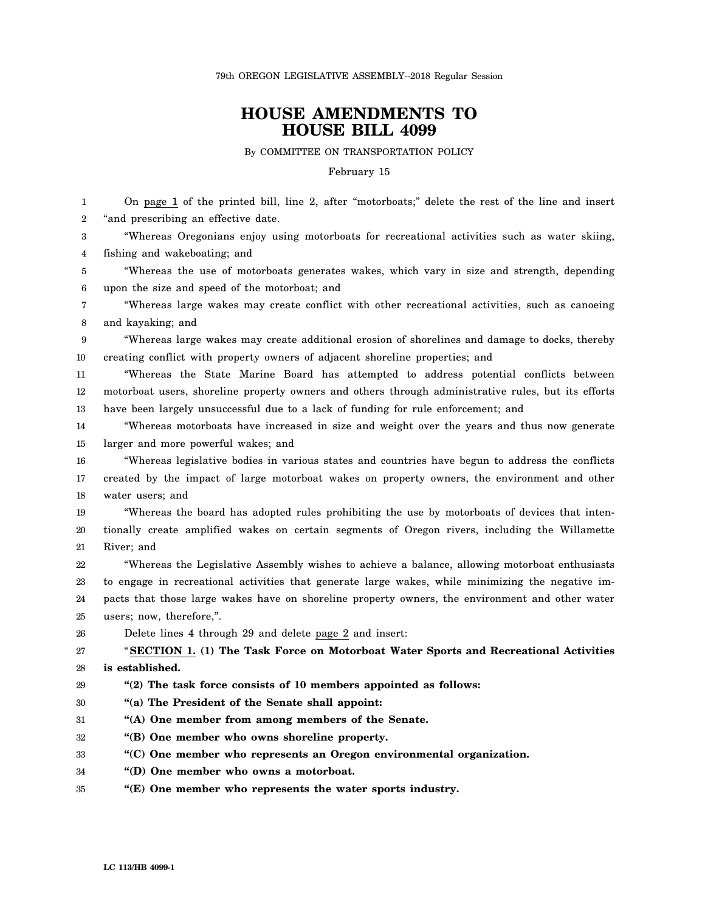79th OREGON LEGISLATIVE ASSEMBLY--2018 Regular Session

## **HOUSE AMENDMENTS TO HOUSE BILL 4099**

By COMMITTEE ON TRANSPORTATION POLICY

February 15

1 2 3 4 5 6 7 8 9 10 11 12 13 14 15 16 17 18 19 20 21 22 23 24 25 26 27 28 29 30 31 32 33 34 35 On page 1 of the printed bill, line 2, after "motorboats;" delete the rest of the line and insert "and prescribing an effective date. "Whereas Oregonians enjoy using motorboats for recreational activities such as water skiing, fishing and wakeboating; and "Whereas the use of motorboats generates wakes, which vary in size and strength, depending upon the size and speed of the motorboat; and "Whereas large wakes may create conflict with other recreational activities, such as canoeing and kayaking; and "Whereas large wakes may create additional erosion of shorelines and damage to docks, thereby creating conflict with property owners of adjacent shoreline properties; and "Whereas the State Marine Board has attempted to address potential conflicts between motorboat users, shoreline property owners and others through administrative rules, but its efforts have been largely unsuccessful due to a lack of funding for rule enforcement; and "Whereas motorboats have increased in size and weight over the years and thus now generate larger and more powerful wakes; and "Whereas legislative bodies in various states and countries have begun to address the conflicts created by the impact of large motorboat wakes on property owners, the environment and other water users; and "Whereas the board has adopted rules prohibiting the use by motorboats of devices that intentionally create amplified wakes on certain segments of Oregon rivers, including the Willamette River; and "Whereas the Legislative Assembly wishes to achieve a balance, allowing motorboat enthusiasts to engage in recreational activities that generate large wakes, while minimizing the negative impacts that those large wakes have on shoreline property owners, the environment and other water users; now, therefore,". Delete lines 4 through 29 and delete page 2 and insert: "**SECTION 1. (1) The Task Force on Motorboat Water Sports and Recreational Activities is established. "(2) The task force consists of 10 members appointed as follows: "(a) The President of the Senate shall appoint: "(A) One member from among members of the Senate. "(B) One member who owns shoreline property. "(C) One member who represents an Oregon environmental organization. "(D) One member who owns a motorboat. "(E) One member who represents the water sports industry.**